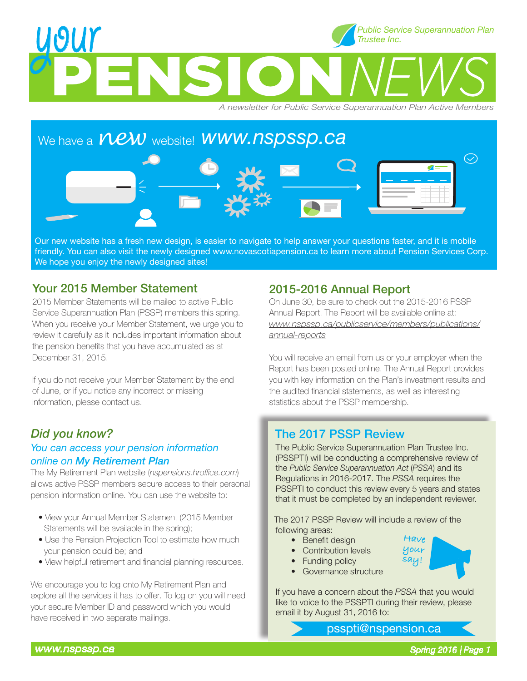## **PENSION** WOUY<br>**PENSION** *NEWS Trustee Inc.*

*A newsletter for Public Service Superannuation Plan Active Members*

# We have a  $\overline{NEW}$  website! **WWW.NSDSSD.Ca**  $\bigcirc$

Our new website has a fresh new design, is easier to navigate to help answer your questions faster, and it is mobile friendly. You can also visit the newly designed www.novascotiapension.ca to learn more about Pension Services Corp. We hope you enjoy the newly designed sites!

#### Your 2015 Member Statement

2015 Member Statements will be mailed to active Public Service Superannuation Plan (PSSP) members this spring. When you receive your Member Statement, we urge you to review it carefully as it includes important information about the pension benefits that you have accumulated as at December 31, 2015.

If you do not receive your Member Statement by the end of June, or if you notice any incorrect or missing information, please contact us.

#### *Did you know?*

#### *You can access your pension information online on My Retirement Plan*

The My Retirement Plan website (*nspensions.hroffice.com*) allows active PSSP members secure access to their personal pension information online. You can use the website to:

- View your Annual Member Statement (2015 Member Statements will be available in the spring);
- Use the Pension Projection Tool to estimate how much your pension could be; and
- View helpful retirement and financial planning resources.

We encourage you to log onto My Retirement Plan and explore all the services it has to offer. To log on you will need your secure Member ID and password which you would have received in two separate mailings.

#### 2015-2016 Annual Report

On June 30, be sure to check out the 2015-2016 PSSP Annual Report. The Report will be available online at: *www.nspssp.ca/publicservice/members/publications/ annual-reports*

You will receive an email from us or your employer when the Report has been posted online. The Annual Report provides you with key information on the Plan's investment results and the audited financial statements, as well as interesting statistics about the PSSP membership.

#### The 2017 PSSP Review

The Public Service Superannuation Plan Trustee Inc. (PSSPTI) will be conducting a comprehensive review of the *Public Service Superannuation Act* (*PSSA*) and its Regulations in 2016-2017. The *PSSA* requires the PSSPTI to conduct this review every 5 years and states that it must be completed by an independent reviewer.

 The 2017 PSSP Review will include a review of the following areas:

• Benefit design

• Funding policy • Governance structure

• Contribution levels



If you have a concern about the *PSSA* that you would like to voice to the PSSPTI during their review, please email it by August 31, 2016 to:

psspti@nspension.ca